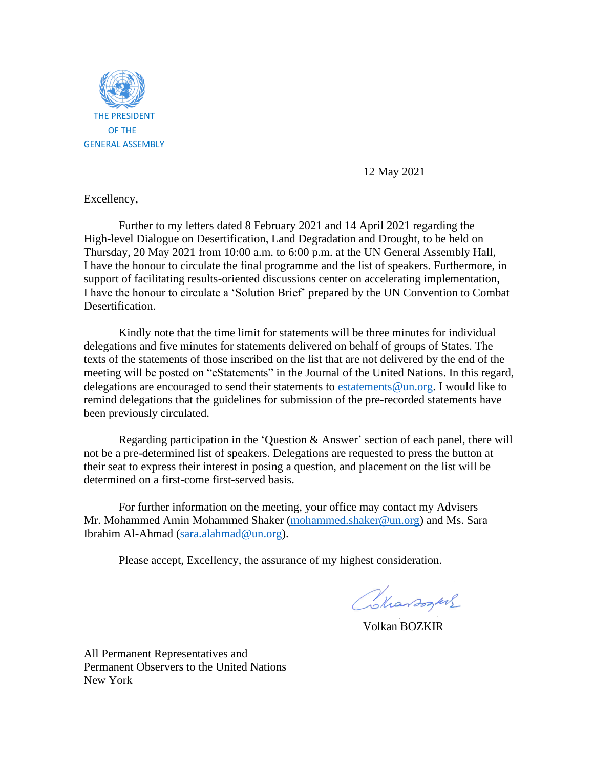

12 May 2021

Excellency,

Further to my letters dated 8 February 2021 and 14 April 2021 regarding the High-level Dialogue on Desertification, Land Degradation and Drought, to be held on Thursday, 20 May 2021 from 10:00 a.m. to 6:00 p.m. at the UN General Assembly Hall, I have the honour to circulate the final programme and the list of speakers. Furthermore, in support of facilitating results-oriented discussions center on accelerating implementation, I have the honour to circulate a 'Solution Brief' prepared by the UN Convention to Combat Desertification.

Kindly note that the time limit for statements will be three minutes for individual delegations and five minutes for statements delivered on behalf of groups of States. The texts of the statements of those inscribed on the list that are not delivered by the end of the meeting will be posted on "eStatements" in the Journal of the United Nations. In this regard, delegations are encouraged to send their statements to estatements  $@un.org$ . I would like to remind delegations that the guidelines for submission of the pre-recorded statements have been previously circulated.

Regarding participation in the 'Question & Answer' section of each panel, there will not be a pre-determined list of speakers. Delegations are requested to press the button at their seat to express their interest in posing a question, and placement on the list will be determined on a first-come first-served basis.

For further information on the meeting, your office may contact my Advisers Mr. Mohammed Amin Mohammed Shaker [\(mohammed.shaker@un.org\)](mailto:mohammed.shaker@un.org) and Ms. Sara Ibrahim Al-Ahmad [\(sara.alahmad@un.org\)](mailto:sara.alahmad@un.org).

Please accept, Excellency, the assurance of my highest consideration.

Colardogues

Volkan BOZKIR

All Permanent Representatives and Permanent Observers to the United Nations New York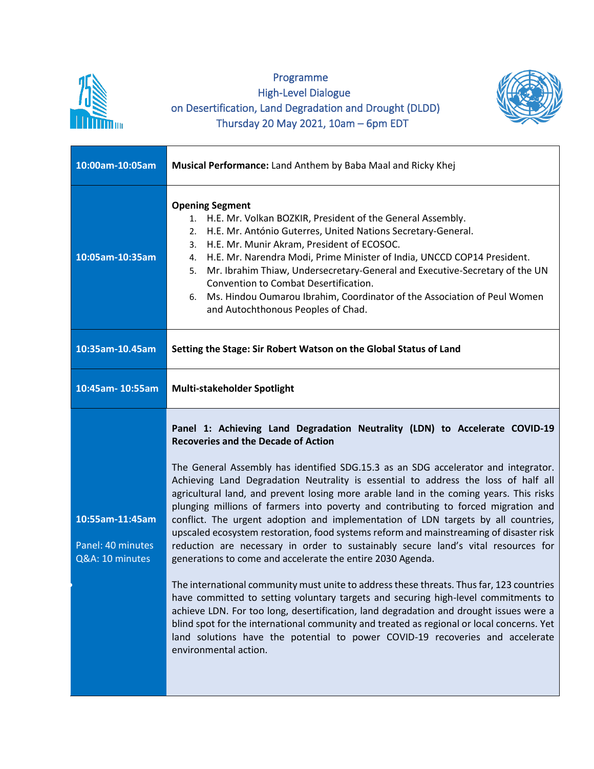

## Programme High-Level Dialogue on Desertification, Land Degradation and Drought (DLDD) Thursday 20 May 2021, 10am – 6pm EDT



| 10:00am-10:05am                                         | Musical Performance: Land Anthem by Baba Maal and Ricky Khej                                                                                                                                                                                                                                                                                                                                                                                                                                                                                                                                                                                                                                                                                                                                                                                                                                                                                                                                                                                                                                                                                                                                                                                                                                               |
|---------------------------------------------------------|------------------------------------------------------------------------------------------------------------------------------------------------------------------------------------------------------------------------------------------------------------------------------------------------------------------------------------------------------------------------------------------------------------------------------------------------------------------------------------------------------------------------------------------------------------------------------------------------------------------------------------------------------------------------------------------------------------------------------------------------------------------------------------------------------------------------------------------------------------------------------------------------------------------------------------------------------------------------------------------------------------------------------------------------------------------------------------------------------------------------------------------------------------------------------------------------------------------------------------------------------------------------------------------------------------|
| 10:05am-10:35am                                         | <b>Opening Segment</b><br>1. H.E. Mr. Volkan BOZKIR, President of the General Assembly.<br>H.E. Mr. António Guterres, United Nations Secretary-General.<br>2.<br>H.E. Mr. Munir Akram, President of ECOSOC.<br>3.<br>H.E. Mr. Narendra Modi, Prime Minister of India, UNCCD COP14 President.<br>4.<br>Mr. Ibrahim Thiaw, Undersecretary-General and Executive-Secretary of the UN<br>5.<br>Convention to Combat Desertification.<br>Ms. Hindou Oumarou Ibrahim, Coordinator of the Association of Peul Women<br>6.<br>and Autochthonous Peoples of Chad.                                                                                                                                                                                                                                                                                                                                                                                                                                                                                                                                                                                                                                                                                                                                                   |
| 10:35am-10.45am                                         | Setting the Stage: Sir Robert Watson on the Global Status of Land                                                                                                                                                                                                                                                                                                                                                                                                                                                                                                                                                                                                                                                                                                                                                                                                                                                                                                                                                                                                                                                                                                                                                                                                                                          |
| 10:45am-10:55am                                         | Multi-stakeholder Spotlight                                                                                                                                                                                                                                                                                                                                                                                                                                                                                                                                                                                                                                                                                                                                                                                                                                                                                                                                                                                                                                                                                                                                                                                                                                                                                |
| 10:55am-11:45am<br>Panel: 40 minutes<br>Q&A: 10 minutes | Panel 1: Achieving Land Degradation Neutrality (LDN) to Accelerate COVID-19<br><b>Recoveries and the Decade of Action</b><br>The General Assembly has identified SDG.15.3 as an SDG accelerator and integrator.<br>Achieving Land Degradation Neutrality is essential to address the loss of half all<br>agricultural land, and prevent losing more arable land in the coming years. This risks<br>plunging millions of farmers into poverty and contributing to forced migration and<br>conflict. The urgent adoption and implementation of LDN targets by all countries,<br>upscaled ecosystem restoration, food systems reform and mainstreaming of disaster risk<br>reduction are necessary in order to sustainably secure land's vital resources for<br>generations to come and accelerate the entire 2030 Agenda.<br>The international community must unite to address these threats. Thus far, 123 countries<br>have committed to setting voluntary targets and securing high-level commitments to<br>achieve LDN. For too long, desertification, land degradation and drought issues were a<br>blind spot for the international community and treated as regional or local concerns. Yet<br>land solutions have the potential to power COVID-19 recoveries and accelerate<br>environmental action. |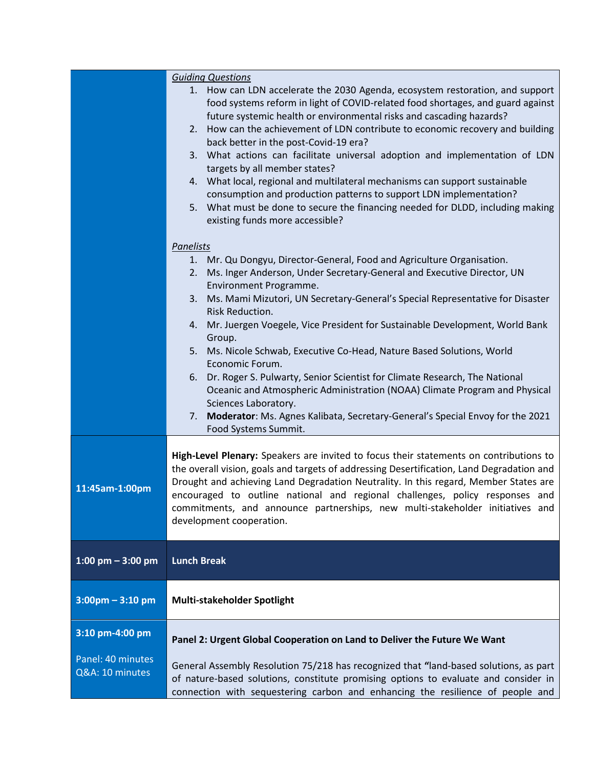|                       | <b>Guiding Questions</b>                                                                                                                                             |
|-----------------------|----------------------------------------------------------------------------------------------------------------------------------------------------------------------|
|                       | 1. How can LDN accelerate the 2030 Agenda, ecosystem restoration, and support                                                                                        |
|                       | food systems reform in light of COVID-related food shortages, and guard against                                                                                      |
|                       | future systemic health or environmental risks and cascading hazards?                                                                                                 |
|                       | How can the achievement of LDN contribute to economic recovery and building<br>2.                                                                                    |
|                       | back better in the post-Covid-19 era?                                                                                                                                |
|                       | 3. What actions can facilitate universal adoption and implementation of LDN                                                                                          |
|                       | targets by all member states?                                                                                                                                        |
|                       | 4. What local, regional and multilateral mechanisms can support sustainable                                                                                          |
|                       | consumption and production patterns to support LDN implementation?                                                                                                   |
|                       | 5. What must be done to secure the financing needed for DLDD, including making                                                                                       |
|                       | existing funds more accessible?                                                                                                                                      |
|                       | <b>Panelists</b>                                                                                                                                                     |
|                       | Mr. Qu Dongyu, Director-General, Food and Agriculture Organisation.<br>1.                                                                                            |
|                       | Ms. Inger Anderson, Under Secretary-General and Executive Director, UN<br>2.                                                                                         |
|                       | Environment Programme.                                                                                                                                               |
|                       | Ms. Mami Mizutori, UN Secretary-General's Special Representative for Disaster<br>3.                                                                                  |
|                       | Risk Reduction.                                                                                                                                                      |
|                       | Mr. Juergen Voegele, Vice President for Sustainable Development, World Bank<br>4.                                                                                    |
|                       | Group.                                                                                                                                                               |
|                       | Ms. Nicole Schwab, Executive Co-Head, Nature Based Solutions, World<br>5.                                                                                            |
|                       | Economic Forum.                                                                                                                                                      |
|                       | Dr. Roger S. Pulwarty, Senior Scientist for Climate Research, The National<br>6.                                                                                     |
|                       | Oceanic and Atmospheric Administration (NOAA) Climate Program and Physical                                                                                           |
|                       | Sciences Laboratory.                                                                                                                                                 |
|                       | Moderator: Ms. Agnes Kalibata, Secretary-General's Special Envoy for the 2021<br>7.                                                                                  |
|                       | Food Systems Summit.                                                                                                                                                 |
|                       |                                                                                                                                                                      |
|                       | High-Level Plenary: Speakers are invited to focus their statements on contributions to                                                                               |
|                       | the overall vision, goals and targets of addressing Desertification, Land Degradation and                                                                            |
| 11:45am-1:00pm        | Drought and achieving Land Degradation Neutrality. In this regard, Member States are<br>encouraged to outline national and regional challenges, policy responses and |
|                       | commitments, and announce partnerships, new multi-stakeholder initiatives and                                                                                        |
|                       | development cooperation.                                                                                                                                             |
|                       |                                                                                                                                                                      |
|                       |                                                                                                                                                                      |
| $1:00$ pm $-3:00$ pm  | <b>Lunch Break</b>                                                                                                                                                   |
|                       |                                                                                                                                                                      |
| $3:00$ pm - $3:10$ pm | Multi-stakeholder Spotlight                                                                                                                                          |
|                       |                                                                                                                                                                      |
| 3:10 pm-4:00 pm       |                                                                                                                                                                      |
|                       | Panel 2: Urgent Global Cooperation on Land to Deliver the Future We Want                                                                                             |
| Panel: 40 minutes     | General Assembly Resolution 75/218 has recognized that "land-based solutions, as part                                                                                |
| Q&A: 10 minutes       | of nature-based solutions, constitute promising options to evaluate and consider in                                                                                  |
|                       | connection with sequestering carbon and enhancing the resilience of people and                                                                                       |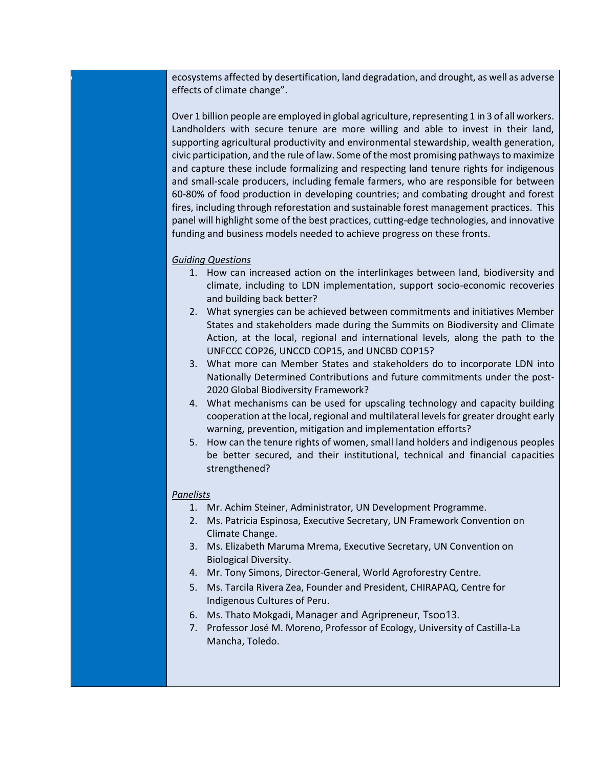• ecosystems affected by desertification, land degradation, and drought, as well as adverse effects of climate change".

Over 1 billion people are employed in global agriculture, representing 1 in 3 of all workers. Landholders with secure tenure are more willing and able to invest in their land, supporting agricultural productivity and environmental stewardship, wealth generation, civic participation, and the rule of law. Some of the most promising pathways to maximize and capture these include formalizing and respecting land tenure rights for indigenous and small-scale producers, including female farmers, who are responsible for between 60-80% of food production in developing countries; and combating drought and forest fires, including through reforestation and sustainable forest management practices. This panel will highlight some of the best practices, cutting-edge technologies, and innovative funding and business models needed to achieve progress on these fronts.

## *Guiding Questions*

- 1. How can increased action on the interlinkages between land, biodiversity and climate, including to LDN implementation, support socio-economic recoveries and building back better?
- 2. What synergies can be achieved between commitments and initiatives Member States and stakeholders made during the Summits on Biodiversity and Climate Action, at the local, regional and international levels, along the path to the UNFCCC COP26, UNCCD COP15, and UNCBD COP15?
- 3. What more can Member States and stakeholders do to incorporate LDN into Nationally Determined Contributions and future commitments under the post-2020 Global Biodiversity Framework?
- 4. What mechanisms can be used for upscaling technology and capacity building cooperation at the local, regional and multilateral levelsfor greater drought early warning, prevention, mitigation and implementation efforts?
- 5. How can the tenure rights of women, small land holders and indigenous peoples be better secured, and their institutional, technical and financial capacities strengthened?

## *Panelists*

- 1. Mr. Achim Steiner, Administrator, UN Development Programme.
- 2. Ms. Patricia Espinosa, Executive Secretary, UN Framework Convention on Climate Change.
- 3. Ms. Elizabeth Maruma Mrema, Executive Secretary, UN Convention on Biological Diversity.
- 4. Mr. Tony Simons, Director-General, World Agroforestry Centre.
- 5. Ms. Tarcila Rivera Zea, Founder and President, CHIRAPAQ, Centre for Indigenous Cultures of Peru.
- 6. Ms. Thato Mokgadi, Manager and Agripreneur, [Tsoo13.](https://www.facebook.com/Tsoo13-248266458878172/)
- 7. Professor José M. Moreno, Professor of Ecology, University of Castilla-La Mancha, Toledo.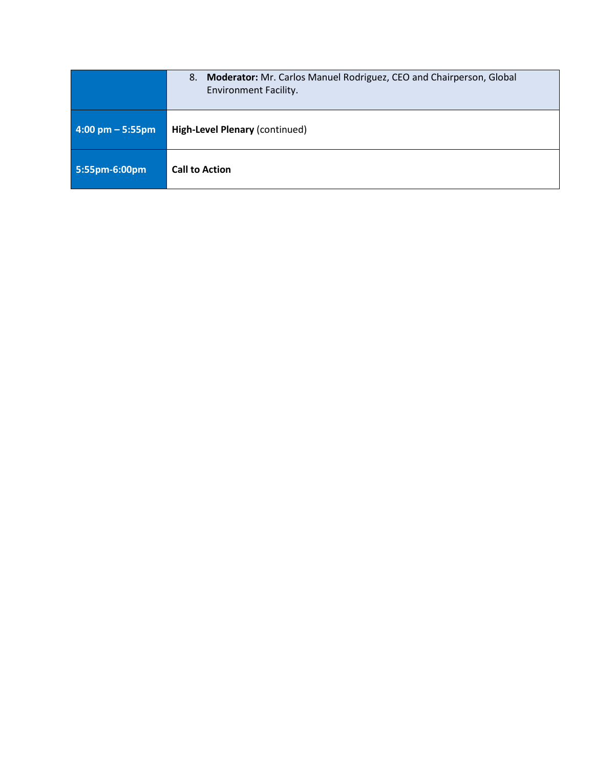|                                    | Moderator: Mr. Carlos Manuel Rodriguez, CEO and Chairperson, Global<br>8.<br><b>Environment Facility.</b> |
|------------------------------------|-----------------------------------------------------------------------------------------------------------|
| $4:00 \text{ pm} - 5:55 \text{pm}$ | High-Level Plenary (continued)                                                                            |
| 5:55pm-6:00pm                      | <b>Call to Action</b>                                                                                     |